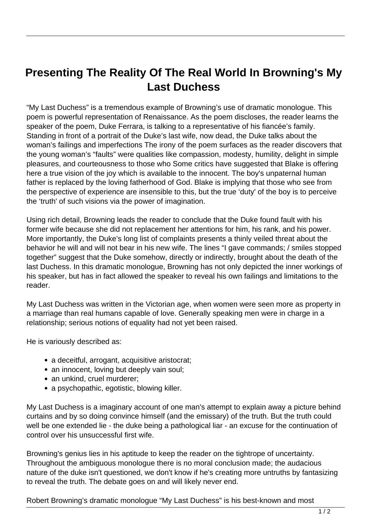## **Presenting The Reality Of The Real World In Browning's My Last Duchess**

"My Last Duchess" is a tremendous example of Browning's use of dramatic monologue. This poem is powerful representation of Renaissance. As the poem discloses, the reader learns the speaker of the poem, Duke Ferrara, is talking to a representative of his fiancée's family. Standing in front of a portrait of the Duke's last wife, now dead, the Duke talks about the woman's failings and imperfections The irony of the poem surfaces as the reader discovers that the young woman's "faults" were qualities like compassion, modesty, humility, delight in simple pleasures, and courteousness to those who Some critics have suggested that Blake is offering here a true vision of the joy which is available to the innocent. The boy's unpaternal human father is replaced by the loving fatherhood of God. Blake is implying that those who see from the perspective of experience are insensible to this, but the true 'duty' of the boy is to perceive the 'truth' of such visions via the power of imagination.

Using rich detail, Browning leads the reader to conclude that the Duke found fault with his former wife because she did not replacement her attentions for him, his rank, and his power. More importantly, the Duke's long list of complaints presents a thinly veiled threat about the behavior he will and will not bear in his new wife. The lines "I gave commands; / smiles stopped together" suggest that the Duke somehow, directly or indirectly, brought about the death of the last Duchess. In this dramatic monologue, Browning has not only depicted the inner workings of his speaker, but has in fact allowed the speaker to reveal his own failings and limitations to the reader.

My Last Duchess was written in the Victorian age, when women were seen more as property in a marriage than real humans capable of love. Generally speaking men were in charge in a relationship; serious notions of equality had not yet been raised.

He is variously described as:

- a deceitful, arrogant, acquisitive aristocrat;
- an innocent, loving but deeply vain soul;
- an unkind, cruel murderer;
- a psychopathic, egotistic, blowing killer.

My Last Duchess is a imaginary account of one man's attempt to explain away a picture behind curtains and by so doing convince himself (and the emissary) of the truth. But the truth could well be one extended lie - the duke being a pathological liar - an excuse for the continuation of control over his unsuccessful first wife.

Browning's genius lies in his aptitude to keep the reader on the tightrope of uncertainty. Throughout the ambiguous monologue there is no moral conclusion made; the audacious nature of the duke isn't questioned, we don't know if he's creating more untruths by fantasizing to reveal the truth. The debate goes on and will likely never end.

Robert Browning's dramatic monologue "My Last Duchess" is his best-known and most